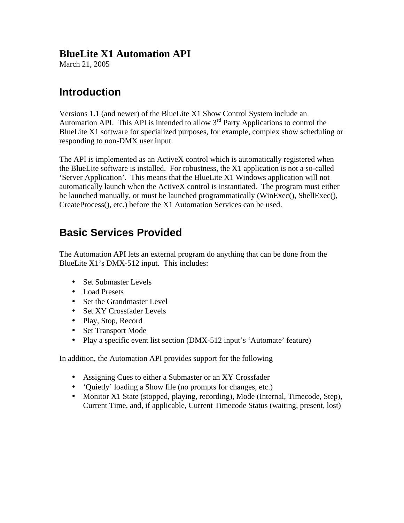### **BlueLite X1 Automation API**

March 21, 2005

## **Introduction**

Versions 1.1 (and newer) of the BlueLite X1 Show Control System include an Automation API. This API is intended to allow  $3<sup>rd</sup>$  Party Applications to control the BlueLite X1 software for specialized purposes, for example, complex show scheduling or responding to non-DMX user input.

The API is implemented as an ActiveX control which is automatically registered when the BlueLite software is installed. For robustness, the X1 application is not a so-called 'Server Application'. This means that the BlueLite X1 Windows application will not automatically launch when the ActiveX control is instantiated. The program must either be launched manually, or must be launched programmatically (WinExec(), ShellExec(), CreateProcess(), etc.) before the X1 Automation Services can be used.

## **Basic Services Provided**

The Automation API lets an external program do anything that can be done from the BlueLite X1's DMX-512 input. This includes:

- Set Submaster Levels
- Load Presets
- Set the Grandmaster Level
- Set XY Crossfader Levels
- Play, Stop, Record
- Set Transport Mode
- Play a specific event list section (DMX-512 input's 'Automate' feature)

In addition, the Automation API provides support for the following

- Assigning Cues to either a Submaster or an XY Crossfader
- 'Quietly' loading a Show file (no prompts for changes, etc.)
- Monitor X1 State (stopped, playing, recording), Mode (Internal, Timecode, Step), Current Time, and, if applicable, Current Timecode Status (waiting, present, lost)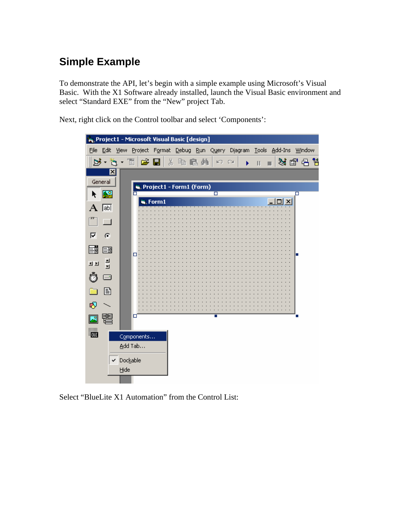# **Simple Example**

To demonstrate the API, let's begin with a simple example using Microsoft's Visual Basic. With the X1 Software already installed, launch the Visual Basic environment and select "Standard EXE" from the "New" project Tab.

Next, right click on the Control toolbar and select 'Components':



Select "BlueLite X1 Automation" from the Control List: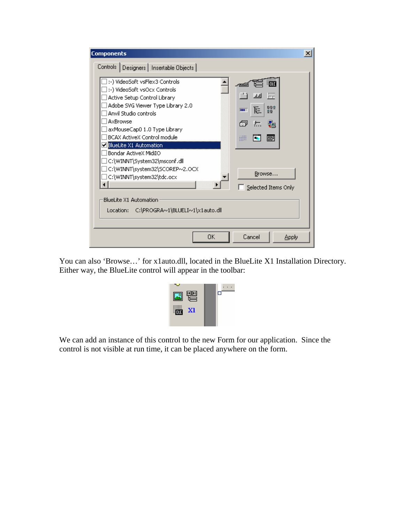| <b>Components</b>                                                                             |                                                                                                                                                                                                           |    |                                                   |              | × |
|-----------------------------------------------------------------------------------------------|-----------------------------------------------------------------------------------------------------------------------------------------------------------------------------------------------------------|----|---------------------------------------------------|--------------|---|
|                                                                                               | Controls   Designers   Insertable Objects                                                                                                                                                                 |    |                                                   |              |   |
| Anvil Studio controls<br>AxBrowse                                                             | :-) VideoSoft vsFlex3 Controls<br>:-) VideoSoft vsOcx Controls<br>Active Setup Control Library<br>Adobe SVG Viewer Type Library 2.0<br>axMouseCap0 1.0 Type Library<br><b>BCAX ActiveX Control module</b> |    | OLE<br>罡<br>물음의<br>⊫<br>m<br>뛥<br>向<br>₩<br>loo:I |              |   |
| <b>ElueLite X1 Automation</b><br>Bondar ActiveX MidiIO<br>BlueLite X1 Automation<br>Location: | C:\WINNT\System32\msconf.dll<br>c:\WINNT\system32\SCOREP~2.OCX!<br>C:\WINNT\system32\tdc.ocx<br>C:\PROGRA~1\BLUELI~1\x1auto.dll                                                                           |    | Browse<br>Selected Items Only                     |              |   |
|                                                                                               |                                                                                                                                                                                                           | ΟK | Cancel                                            | <b>Apply</b> |   |

You can also 'Browse…' for x1auto.dll, located in the BlueLite X1 Installation Directory. Either way, the BlueLite control will appear in the toolbar:



We can add an instance of this control to the new Form for our application. Since the control is not visible at run time, it can be placed anywhere on the form.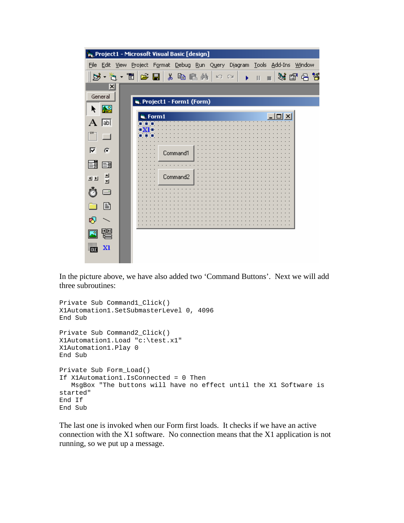|                 | <b>A</b> Project1 - Microsoft Visual Basic [design]                        |  |
|-----------------|----------------------------------------------------------------------------|--|
|                 | File Edit View Project Format Debug Run Query Diagram Tools Add-Ins Window |  |
|                 | B · G · T & D & G & A<br>装配吊筒<br>no di →<br>$\parallel$ H                  |  |
| $\vert x \vert$ |                                                                            |  |
| General         | Project1 - Form1 (Form)                                                    |  |
| 船               |                                                                            |  |
| <b>abl</b><br>A | is, Form 1                                                                 |  |
| $\Box$          |                                                                            |  |
| ⊽<br>G          | Command1                                                                   |  |
| 텲<br>턤          |                                                                            |  |
| - 희<br>관련       | Command2                                                                   |  |
| ⊟               |                                                                            |  |
| 圄               |                                                                            |  |
| ฑ               |                                                                            |  |
|                 |                                                                            |  |
| XI              |                                                                            |  |

In the picture above, we have also added two 'Command Buttons'. Next we will add three subroutines:

```
Private Sub Command1_Click()
X1Automation1.SetSubmasterLevel 0, 4096
End Sub
Private Sub Command2_Click()
X1Automation1.Load "c:\test.x1"
X1Automation1.Play 0
End Sub
Private Sub Form_Load()
If X1Automation1.IsConnected = 0 Then
   MsgBox "The buttons will have no effect until the X1 Software is 
started"
End If
End Sub
```
The last one is invoked when our Form first loads. It checks if we have an active connection with the X1 software. No connection means that the X1 application is not running, so we put up a message.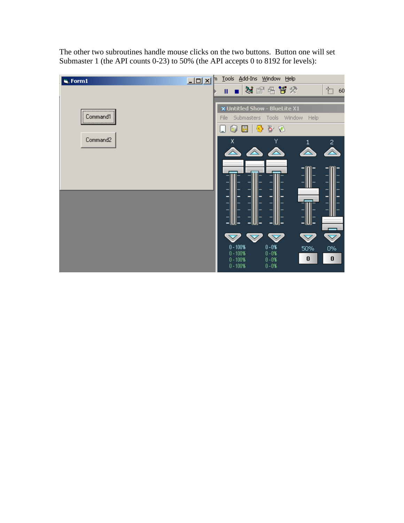The other two subroutines handle mouse clicks on the two buttons. Button one will set Submaster 1 (the API counts 0-23) to 50% (the API accepts 0 to 8192 for levels):

| is, Form1        | $\mathbb{Z}$ p $\mathbb{Z}$ $\mathbb{Z}$ |                                                          |                                                                                      | Tools Add-Ins Window Help                        |                                          |                                            |
|------------------|------------------------------------------|----------------------------------------------------------|--------------------------------------------------------------------------------------|--------------------------------------------------|------------------------------------------|--------------------------------------------|
|                  |                                          |                                                          |                                                                                      | 36 18 18 19                                      |                                          | t.<br>$-60$                                |
| <br>Command1<br> |                                          |                                                          | x Untitled Show - BlueLite X1<br>File Submasters Tools Window Help<br>雪白色<br>目<br>ĠУ |                                                  |                                          |                                            |
| Command2         |                                          | Χ                                                        |                                                                                      | Υ<br>$\triangle$                                 | $\mathbf{1}$                             | $\overline{c}$                             |
|                  |                                          |                                                          | -                                                                                    | -                                                | – W –                                    |                                            |
|                  |                                          | $0 - 100\%$<br>$0 - 100\%$<br>$0 - 100\%$<br>$0 - 100\%$ |                                                                                      | $0 - 0$ %<br>$0 - 0$ %<br>$0 - 0$ %<br>$0 - 0\%$ | $\blacktriangledown$<br>50%<br>$\pmb{0}$ | $\blacktriangledown$<br>$0\%$<br>$\pmb{0}$ |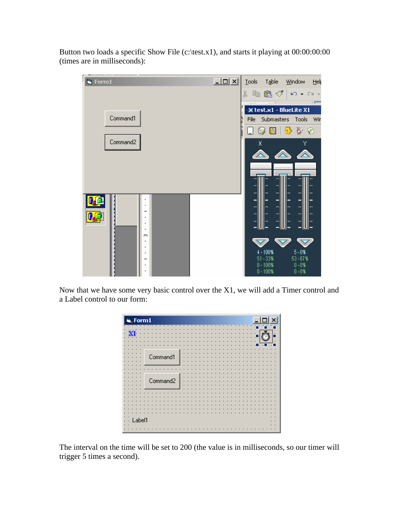Button two loads a specific Show File (c:\test.x1), and starts it playing at  $00:00:00:00$ (times are in milliseconds):



Now that we have some very basic control over the X1, we will add a Timer control and a Label control to our form:



The interval on the time will be set to 200 (the value is in milliseconds, so our timer will trigger 5 times a second).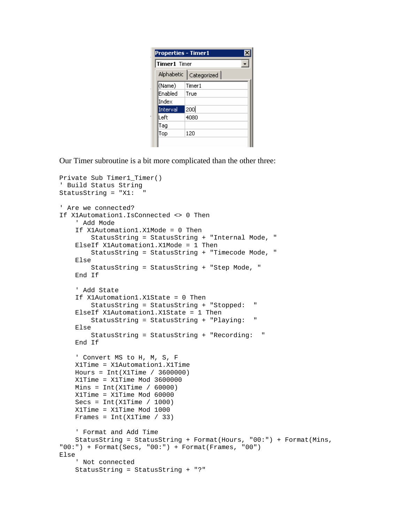| <b>Properties - Timer1</b> |                          |  |
|----------------------------|--------------------------|--|
| Timer1 Timer               |                          |  |
|                            | Alphabetic   Categorized |  |
| (Name)                     | Timer1                   |  |
| Enabled                    | True                     |  |
| Index                      |                          |  |
| Interval                   | 200                      |  |
| Left                       | 4080                     |  |
| Tag                        |                          |  |
| Top                        | 120                      |  |
|                            |                          |  |

Our Timer subroutine is a bit more complicated than the other three:

```
Private Sub Timer1_Timer()
' Build Status String
StatusString = "X1: "
' Are we connected?
If X1Automation1.IsConnected <> 0 Then
     ' Add Mode
     If X1Automation1.X1Mode = 0 Then
         StatusString = StatusString + "Internal Mode, "
     ElseIf X1Automation1.X1Mode = 1 Then
         StatusString = StatusString + "Timecode Mode, "
     Else
         StatusString = StatusString + "Step Mode, "
     End If
     ' Add State
     If X1Automation1.X1State = 0 Then
         StatusString = StatusString + "Stopped: "
     ElseIf X1Automation1.X1State = 1 Then
         StatusString = StatusString + "Playing: "
     Else
         StatusString = StatusString + "Recording: "
     End If
     ' Convert MS to H, M, S, F
    X1Time = X1Automation1.X1Time
   Hours = Int(X1Time / 3600000) X1Time = X1Time Mod 3600000
   Mins = Int(X1Time / 60000) X1Time = X1Time Mod 60000
    Secs = Int(X1Time / 1000) X1Time = X1Time Mod 1000
   Frames = Int(X1Time / 33) ' Format and Add Time
     StatusString = StatusString + Format(Hours, "00:") + Format(Mins, 
"00:") + Format(Secs, "00:") + Format(Frames, "00")
Else
     ' Not connected
     StatusString = StatusString + "?"
```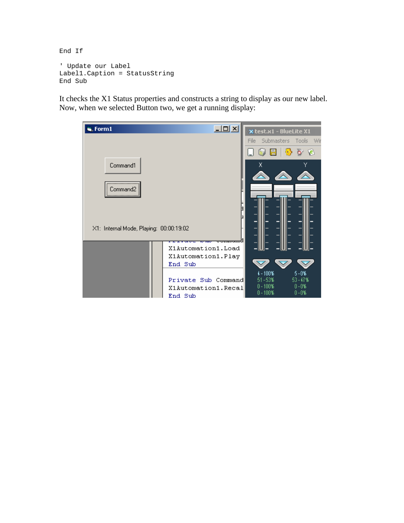End If

```
' Update our Label
Label1.Caption = StatusString
End Sub
```
It checks the X1 Status properties and constructs a string to display as our new label. Now, when we selected Button two, we get a running display:

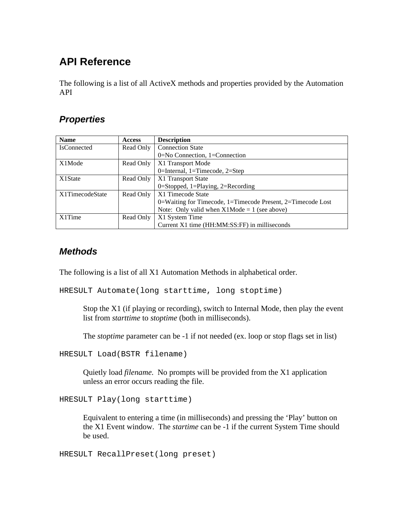# **API Reference**

The following is a list of all ActiveX methods and properties provided by the Automation API

#### *Properties*

| <b>Name</b>        | <b>Access</b> | <b>Description</b>                                          |
|--------------------|---------------|-------------------------------------------------------------|
| <b>IsConnected</b> | Read Only     | <b>Connection State</b>                                     |
|                    |               | 0=No Connection, 1=Connection                               |
| X1Mode             | Read Only     | X1 Transport Mode                                           |
|                    |               | 0=Internal, 1=Timecode, 2=Step                              |
| X1State            | Read Only     | X1 Transport State                                          |
|                    |               | 0=Stopped, 1=Playing, 2=Recording                           |
| X1TimecodeState    | Read Only     | X1 Timecode State                                           |
|                    |               | 0=Waiting for Timecode, 1=Timecode Present, 2=Timecode Lost |
|                    |               | Note: Only valid when $X1$ Mode = 1 (see above)             |
| X1Time             | Read Only     | X1 System Time                                              |
|                    |               | Current X1 time (HH:MM:SS:FF) in milliseconds               |

#### *Methods*

The following is a list of all X1 Automation Methods in alphabetical order.

HRESULT Automate(long starttime, long stoptime)

Stop the X1 (if playing or recording), switch to Internal Mode, then play the event list from *starttime* to *stoptime* (both in milliseconds).

The *stoptime* parameter can be -1 if not needed (ex. loop or stop flags set in list)

HRESULT Load(BSTR filename)

Quietly load *filename*. No prompts will be provided from the X1 application unless an error occurs reading the file.

HRESULT Play(long starttime)

Equivalent to entering a time (in milliseconds) and pressing the 'Play' button on the X1 Event window. The *startime* can be -1 if the current System Time should be used.

HRESULT RecallPreset(long preset)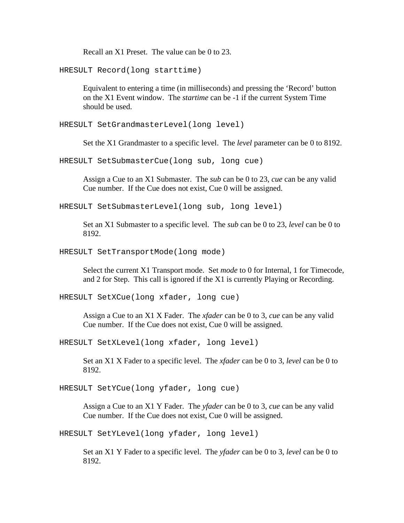Recall an X1 Preset. The value can be 0 to 23.

HRESULT Record(long starttime)

Equivalent to entering a time (in milliseconds) and pressing the 'Record' button on the X1 Event window. The *startime* can be -1 if the current System Time should be used.

HRESULT SetGrandmasterLevel(long level)

Set the X1 Grandmaster to a specific level. The *level* parameter can be 0 to 8192.

HRESULT SetSubmasterCue(long sub, long cue)

Assign a Cue to an X1 Submaster. The *sub* can be 0 to 23, *cue* can be any valid Cue number. If the Cue does not exist, Cue 0 will be assigned.

HRESULT SetSubmasterLevel(long sub, long level)

Set an X1 Submaster to a specific level. The *sub* can be 0 to 23, *level* can be 0 to 8192.

HRESULT SetTransportMode(long mode)

Select the current X1 Transport mode. Set *mode* to 0 for Internal, 1 for Timecode, and 2 for Step. This call is ignored if the X1 is currently Playing or Recording.

HRESULT SetXCue(long xfader, long cue)

Assign a Cue to an X1 X Fader. The *xfader* can be 0 to 3, *cue* can be any valid Cue number. If the Cue does not exist, Cue 0 will be assigned.

HRESULT SetXLevel(long xfader, long level)

Set an X1 X Fader to a specific level. The *xfader* can be 0 to 3, *level* can be 0 to 8192.

HRESULT SetYCue(long yfader, long cue)

Assign a Cue to an X1 Y Fader. The *yfader* can be 0 to 3, *cue* can be any valid Cue number. If the Cue does not exist, Cue 0 will be assigned.

HRESULT SetYLevel(long yfader, long level)

Set an X1 Y Fader to a specific level. The *yfader* can be 0 to 3, *level* can be 0 to 8192.